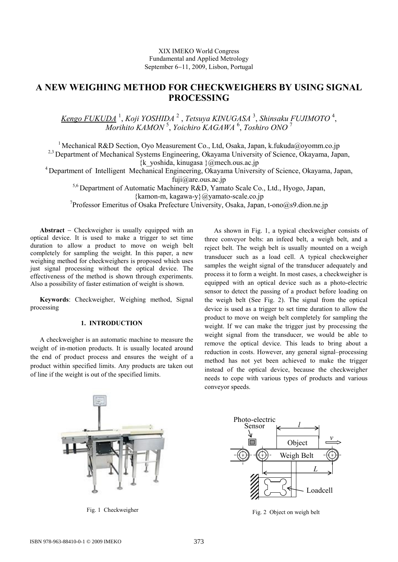# **A NEW WEIGHING METHOD FOR CHECKWEIGHERS BY USING SIGNAL PROCESSING**

*Kengo FUKUDA* <sup>1</sup> , *Koji YOSHIDA* <sup>2</sup> , *Tetsuya KINUGASA* <sup>3</sup> , *Shinsaku FUJIMOTO* <sup>4</sup> , *Morihito KAMON* <sup>5</sup> , *Yoichiro KAGAWA* <sup>6</sup> , *Toshiro ONO* <sup>7</sup>

<sup>1</sup> Mechanical R&D Section, Oyo Measurement Co., Ltd, Osaka, Japan, k.fukuda@oyomm.co.jp <sup>2,3</sup> Department of Mechanical Systems Engineering, Okayama University of Science, Okayama, Japan,  $\{k\}$  yoshida, kinugasa  $\{@$ mech.ous.ac.jp

<sup>4</sup> Department of Intelligent Mechanical Engineering, Okayama University of Science, Okayama, Japan,

fuji@are.ous.ac.jp

5,6 Department of Automatic Machinery R&D, Yamato Scale Co., Ltd., Hyogo, Japan,

{kamon-m, kagawa-y}@yamato-scale.co.jp

7 Professor Emeritus of Osaka Prefecture University, Osaka, Japan, t-ono@s9.dion.ne.jp

**Abstract** − Checkweigher is usually equipped with an optical device. It is used to make a trigger to set time duration to allow a product to move on weigh belt completely for sampling the weight. In this paper, a new weighing method for checkweighers is proposed which uses just signal processing without the optical device. The effectiveness of the method is shown through experiments. Also a possibility of faster estimation of weight is shown.

**Keywords**: Checkweigher, Weighing method, Signal processing

# **1. INTRODUCTION**

A checkweigher is an automatic machine to measure the weight of in-motion products. It is usually located around the end of product process and ensures the weight of a product within specified limits. Any products are taken out of line if the weight is out of the specified limits.

As shown in Fig. 1, a typical checkweigher consists of three conveyor belts: an infeed belt, a weigh belt, and a reject belt. The weigh belt is usually mounted on a weigh transducer such as a load cell. A typical checkweigher samples the weight signal of the transducer adequately and process it to form a weight. In most cases, a checkweigher is equipped with an optical device such as a photo-electric sensor to detect the passing of a product before loading on the weigh belt (See Fig. 2). The signal from the optical device is used as a trigger to set time duration to allow the product to move on weigh belt completely for sampling the weight. If we can make the trigger just by processing the weight signal from the transducer, we would be able to remove the optical device. This leads to bring about a reduction in costs. However, any general signal–processing method has not yet been achieved to make the trigger instead of the optical device, because the checkweigher needs to cope with various types of products and various conveyor speeds.



Fig. 1 Checkweigher



Fig. 2 Object on weigh belt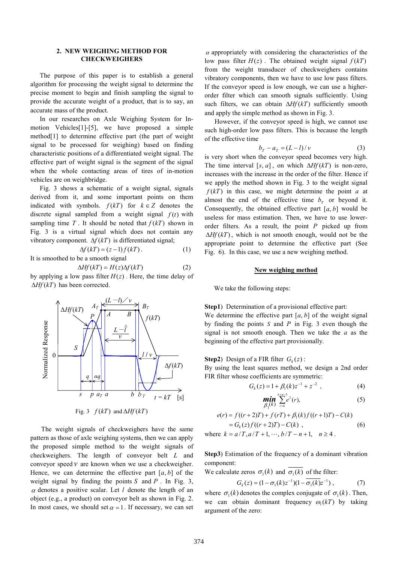## **2. NEW WEIGHING METHOD FOR CHECKWEIGHERS**

The purpose of this paper is to establish a general algorithm for processing the weight signal to determine the precise moment to begin and finish sampling the signal to provide the accurate weight of a product, that is to say, an accurate mass of the product.

In our researches on Axle Weighing System for Inmotion Vehicles[1]-[5], we have proposed a simple method[1] to determine effective part (the part of weight signal to be processed for weighing) based on finding characteristic positions of a differentiated weight signal. The effective part of weight signal is the segment of the signal when the whole contacting areas of tires of in-motion vehicles are on weighbridge.

Fig. 3 shows a schematic of a weight signal, signals derived from it, and some important points on them indicated with symbols.  $f(kT)$  for  $k \in \mathbb{Z}$  denotes the discrete signal sampled from a weight signal  $f(t)$  with sampling time  $T$ . It should be noted that  $f(kT)$  shown in Fig. 3 is a virtual signal which does not contain any vibratory component. ∆*f* (*kT*) is differentiated signal;

$$
\Delta f(kT) = (z-1)f(kT). \tag{1}
$$

It is smoothed to be a smooth signal

∆*Hf* (*kT*) has been corrected.

 $\Delta H f(kT) = H(z) \Delta f(kT)$  (2) by applying a low pass filter  $H(z)$ . Here, the time delay of



Fig. 3  $f(kT)$  and  $\Delta Hf(kT)$ 

The weight signals of checkweighers have the same pattern as those of axle weighing systems, then we can apply the proposed simple method to the weight signals of checkweighers. The length of conveyor belt *L* and conveyor speed  $\nu$  are known when we use a checkweigher. Hence, we can determine the effective part  $[a, b]$  of the weight signal by finding the points  $S$  and  $P$ . In Fig. 3, <sup>α</sup> denotes a positive scalar. Let *l* denote the length of an object (e.g., a product) on conveyor belt as shown in Fig. 2. In most cases, we should set  $\alpha = 1$ . If necessary, we can set

 $\alpha$  appropriately with considering the characteristics of the low pass filter  $H(z)$ . The obtained weight signal  $f(kT)$ from the weight transducer of checkweighers contains vibratory components, then we have to use low pass filters. If the conveyor speed is low enough, we can use a higherorder filter which can smooth signals sufficiently. Using such filters, we can obtain  $ΔHf(kT)$  sufficiently smooth and apply the simple method as shown in Fig. 3.

However, if the conveyor speed is high, we cannot use such high-order low pass filters. This is because the length of the effective time

$$
b_T - a_T = (L - l)/v \tag{3}
$$

is very short when the conveyor speed becomes very high. The time interval [ $s$ ,  $a$ ], on which  $\Delta Hf(kT)$  is non-zero, increases with the increase in the order of the filter. Hence if we apply the method shown in Fig. 3 to the weight signal  $f(kT)$  in this case, we might determine the point *a* at almost the end of the effective time  $b<sub>T</sub>$  or beyond it. Consequently, the obtained effective part  $[a, b]$  would be useless for mass estimation. Then, we have to use lowerorder filters. As a result, the point *P* picked up from ∆*Hf* (*kT*) , which is not smooth enough, would not be the appropriate point to determine the effective part (See Fig. 6). In this case, we use a new weighing method.

#### **New weighing method**

We take the following steps:

**Step1**) Determination of a provisional effective part: We determine the effective part  $[a, b]$  of the weight signal by finding the points *S* and *P* in Fig. 3 even though the signal is not smooth enough. Then we take the *a* as the beginning of the effective part provisionally.

**Step2**) Design of a FIR filter  $G_k(z)$ :

By using the least squares method, we design a 2nd order FIR filter whose coefficients are symmetric:

$$
G_k(z) = 1 + \beta_1(k)z^{-1} + z^{-2} \t{,} \t(4)
$$

$$
\min_{\beta_1(k)} \sum_{r=k}^{k+n-3} e^2(r),\tag{5}
$$

$$
e(r) = f((r+2)T) + f(rT) + \beta_1(k)f((r+1)T) - C(k)
$$
  
=  $G_k(z) f((r+2)T) - C(k)$ , (6)

where  $k = a/T$ ,  $a/T + 1$ ,  $\cdots$ ,  $b/T - n + 1$ ,  $n \ge 4$ .

**Step3**) Estimation of the frequency of a dominant vibration component:

We calculate zeros  $\sigma_1(k)$  and  $\overline{\sigma_1(k)}$  of the filter:

$$
G_k(z) = (1 - \sigma_1(k)z^{-1})(1 - \overline{\sigma_1(k)}z^{-1}), \qquad (7)
$$

where  $\sigma_1(k)$  denotes the complex conjugate of  $\sigma_1(k)$ . Then, we can obtain dominant frequency  $\omega_1(kT)$  by taking argument of the zero: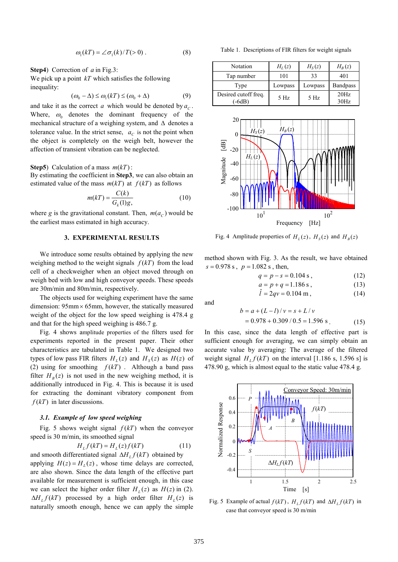$$
\omega_1(kT) = \angle \sigma_1(k)/T(>0) . \tag{8}
$$

**Step4**) Correction of *a* in Fig.3:

We pick up a point *kT* which satisfies the following inequality:

$$
(\omega_0 - \Delta) \le \omega_1(kT) \le (\omega_0 + \Delta) \tag{9}
$$

and take it as the correct *a* which would be denoted by  $a_c$ . Where,  $\omega_0$  denotes the dominant frequency of the mechanical structure of a weighing system, and ∆ denotes a tolerance value. In the strict sense,  $a_c$  is not the point when the object is completely on the weigh belt, however the affection of transient vibration can be neglected.

#### **Step5**) Calculation of a mass *m*(*kT*):

By estimating the coefficient in **Step3**, we can also obtain an estimated value of the mass  $m(kT)$  at  $f(kT)$  as follows

$$
m(kT) = \frac{C(k)}{G_k(1)g},\tag{10}
$$

where *g* is the gravitational constant. Then,  $m(a_c)$  would be the earliest mass estimated in high accuracy.

#### **3. EXPERIMENTAL RESULTS**

We introduce some results obtained by applying the new weighing method to the weight signals  $f(kT)$  from the load cell of a checkweigher when an object moved through on weigh bed with low and high conveyor speeds. These speeds are 30m/min and 80m/min, respectively.

The objects used for weighing experiment have the same dimension:  $95 \text{mm} \times 65 \text{mm}$ , however, the statically measured weight of the object for the low speed weighing is 478.4 g and that for the high speed weighing is 486.7 g.

Fig. 4 shows amplitude properties of the filters used for experiments reported in the present paper. Their other characteristics are tabulated in Table 1. We designed two types of low pass FIR filters  $H_L(z)$  and  $H_S(z)$  as  $H(z)$  of (2) using for smoothing  $f(kT)$ . Although a band pass filter  $H_B(z)$  is not used in the new weighing method, it is additionally introduced in Fig. 4. This is because it is used for extracting the dominant vibratory component from *f* (*kT*) in later discussions.

#### *3.1. Example of low speed weighing*

Fig. 5 shows weight signal  $f(kT)$  when the conveyor speed is 30 m/min, its smoothed signal

$$
H_L f(kT) = H_L(z) f(kT)
$$
\n(11)

and smooth differentiated signal  $\Delta H_L f(kT)$  obtained by applying  $H(z) = H<sub>L</sub>(z)$ , whose time delays are corrected, are also shown. Since the data length of the effective part available for measurement is sufficient enough, in this case we can select the higher order filter  $H_L(z)$  as  $H(z)$  in (2).  $\Delta H_L f(kT)$  processed by a high order filter  $H_L(z)$  is naturally smooth enough, hence we can apply the simple

Table 1. Descriptions of FIR filters for weight signals

| Notation                       | $H_L(z)$ | $H_S(z)$ | $H_R(z)$        |
|--------------------------------|----------|----------|-----------------|
| Tap number                     | 101      | 33       | 401             |
| Type                           | Lowpass  | Lowpass  | <b>Bandpass</b> |
| Desired cutoff freq.<br>$-6dB$ | 5 Hz     | 5 Hz     | 20Hz<br>30Hz    |



Fig. 4 Amplitude properties of  $H_L(z)$ ,  $H_S(z)$  and  $H_B(z)$ 

method shown with Fig. 3. As the result, we have obtained  $s = 0.978$  s,  $p = 1.082$  s, then,

$$
q = p - s = 0.104 \text{ s},\tag{12}
$$

$$
a = p + q = 1.186 \text{ s},\tag{13}
$$

$$
\hat{l} = 2qv = 0.104 \text{ m},\tag{14}
$$

and

$$
b = a + (L - l)/v = s + L/v
$$
  
= 0.978 + 0.309 / 0.5 = 1.596 s. (15)

In this case, since the data length of effective part is sufficient enough for averaging, we can simply obtain an accurate value by averaging: The average of the filtered weight signal  $H_L f(kT)$  on the interval [1.186 s, 1.596 s] is 478.90 g, which is almost equal to the static value 478.4 g.



Fig. 5 Example of actual  $f(kT)$ ,  $H_L f(kT)$  and  $\Delta H_L f(kT)$  in case that conveyor speed is 30 m/min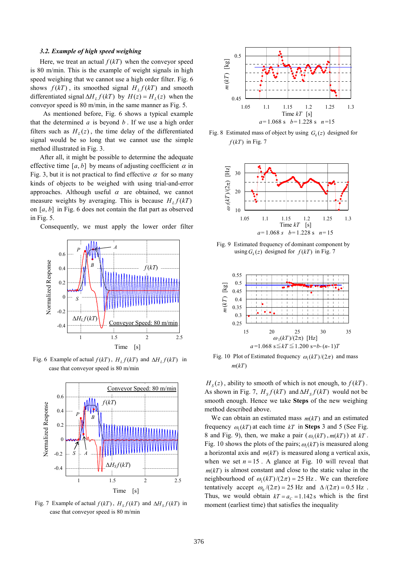## *3.2. Example of high speed weighing*

Here, we treat an actual  $f(kT)$  when the conveyor speed is 80 m/min. This is the example of weight signals in high speed weighing that we cannot use a high order filter. Fig. 6 shows  $f(kT)$ , its smoothed signal  $H_L f(kT)$  and smooth differentiated signal  $\Delta H_L f(kT)$  by  $H(z) = H_L(z)$  when the conveyor speed is 80 m/min, in the same manner as Fig. 5.

 As mentioned before, Fig. 6 shows a typical example that the determined *a* is beyond *b* . If we use a high order filters such as  $H_L(z)$ , the time delay of the differentiated signal would be so long that we cannot use the simple method illustrated in Fig. 3.

After all, it might be possible to determine the adequate effective time  $[a, b]$  by means of adjusting coefficient  $\alpha$  in Fig. 3, but it is not practical to find effective  $\alpha$  for so many kinds of objects to be weighed with using trial-and-error approaches. Although useful  $\alpha$  are obtained, we cannot measure weights by averaging. This is because  $H_L f(kT)$ on [*a*, *b*] in Fig. 6 does not contain the flat part as observed in Fig. 5.

Consequently, we must apply the lower order filter



Fig. 6 Example of actual  $f(kT)$ ,  $H_L f(kT)$  and  $\Delta H_L f(kT)$  in case that conveyor speed is 80 m/min



Fig. 7 Example of actual  $f(kT)$ ,  $H_s f(kT)$  and  $\Delta H_s f(kT)$  in case that conveyor speed is 80 m/min



Fig. 8 Estimated mass of object by using  $G_k(z)$  designed for  $f(kT)$  in Fig. 7



Fig. 9 Estimated frequency of dominant component by using  $G_k(z)$  designed for  $f(kT)$  in Fig. 7



Fig. 10 Plot of Estimated frequency  $\omega_1(kT)/(2\pi)$  and mass  $m(kT)$ 

 $H_s(z)$ , ability to smooth of which is not enough, to  $f(kT)$ . As shown in Fig. 7,  $H_s f(kT)$  and  $\Delta H_s f(kT)$  would not be smooth enough. Hence we take **Steps** of the new weighing method described above.

We can obtain an estimated mass *m*(*kT*) and an estimated frequency  $\omega_1(kT)$  at each time  $kT$  in **Steps** 3 and 5 (See Fig. 8 and Fig. 9), then, we make a pair  $(\omega_1(kT), m(kT))$  at  $kT$ . Fig. 10 shows the plots of the pairs;  $\omega_1(kT)$  is measured along a horizontal axis and *m*(*kT*) is measured along a vertical axis, when we set  $n = 15$ . A glance at Fig. 10 will reveal that  $m(kT)$  is almost constant and close to the static value in the neighbourhood of  $\omega_1(kT)/(2\pi) = 25 \text{ Hz}$ . We can therefore tentatively accept  $\omega_0/(2\pi) = 25$  Hz and  $\Delta/(2\pi) = 0.5$  Hz. Thus, we would obtain  $kT = a_c = 1.142$  s which is the first moment (earliest time) that satisfies the inequality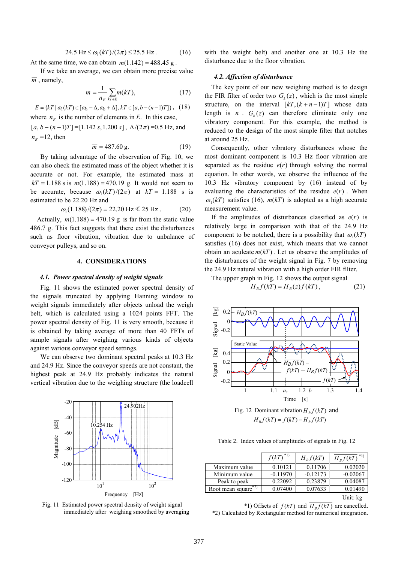$$
24.5 \, \text{Hz} \le \omega_1(k) / (2\pi) \le 25.5 \, \text{Hz} \,. \tag{16}
$$

At the same time, we can obtain  $m(1.142) = 488.45$  g.

If we take an average, we can obtain more precise value  $\overline{m}$ , namely,

$$
\overline{m} = \frac{1}{n_E} \sum_{kT \in E} m(kT), \tag{17}
$$

 ${E} = {kT | \omega_1(kT) \in [\omega_0 - \Delta, \omega_0 + \Delta], kT \in [a, b - (n-1)T]}, (18)$ where  $n_E$  is the number of elements in *E*. In this case,

 $[a, b - (n-1)T] = [1.142 s, 1.200 s], \Delta/(2\pi) = 0.5 \text{ Hz}, \text{ and}$  $n_E$  =12, then

$$
\overline{m} = 487.60 \text{ g.}
$$
 (19)

By taking advantage of the observation of Fig. 10, we can also check the estimated mass of the object whether it is accurate or not. For example, the estimated mass at  $kT = 1.188$  s is  $m(1.188) = 470.19$  g. It would not seem to be accurate, because  $\omega_1(kT)/(2\pi)$  at  $kT = 1.188$  s is estimated to be 22.20 Hz and

$$
\omega_1(1.188)/(2\pi) = 22.20 \text{ Hz} \ll 25 \text{ Hz}
$$
. (20)

Actually,  $m(1.188) = 470.19$  g is far from the static value 486.7 g. This fact suggests that there exist the disturbances such as floor vibration, vibration due to unbalance of conveyor pulleys, and so on.

## **4. CONSIDERATIONS**

#### *4.1. Power spectral density of weight signals*

Fig. 11 shows the estimated power spectral density of the signals truncated by applying Hanning window to weight signals immediately after objects unload the weigh belt, which is calculated using a 1024 points FFT. The power spectral density of Fig. 11 is very smooth, because it is obtained by taking average of more than 40 FFTs of sample signals after weighing various kinds of objects against various conveyor speed settings.

We can observe two dominant spectral peaks at 10.3 Hz and 24.9 Hz. Since the conveyor speeds are not constant, the highest peak at 24.9 Hz probably indicates the natural vertical vibration due to the weighing structure (the loadcell



Fig. 11 Estimated power spectral density of weight signal immediately after weighing smoothed by averaging

with the weight belt) and another one at 10.3 Hz the disturbance due to the floor vibration.

## *4.2. Affection of disturbance*

The key point of our new weighing method is to design the FIR filter of order two  $G_k(z)$ , which is the most simple structure, on the interval  $[kT, (k+n-1)T]$  whose data length is  $n$ .  $G_k(z)$  can therefore eliminate only one vibratory component. For this example, the method is reduced to the design of the most simple filter that notches at around 25 Hz.

Consequently, other vibratory disturbances whose the most dominant component is 10.3 Hz floor vibration are separated as the residue  $e(r)$  through solving the normal equation. In other words, we observe the influence of the 10.3 Hz vibratory component by (16) instead of by evaluating the characteristics of the residue  $e(r)$ . When  $\omega_1(kT)$  satisfies (16),  $m(kT)$  is adopted as a high accurate measurement value.

If the amplitudes of disturbances classified as *e*(*r*) is relatively large in comparison with that of the 24.9 Hz component to be notched, there is a possibility that  $\omega_1(kT)$ satisfies (16) does not exist, which means that we cannot obtain an aculeate  $m(kT)$ . Let us observe the amplitudes of the disturbances of the weight signal in Fig. 7 by removing the 24.9 Hz natural vibration with a high order FIR filter.

The upper graph in Fig. 12 shows the output signal

$$
H_B f(kT) = H_B(z)f(kT), \qquad (21)
$$



Table 2. Index values of amplitudes of signals in Fig. 12

|                                              | $f(kT)^{*1}$ | $H_{R}f(kT)$ | $H_{B}f(kT)^{*1}$ |
|----------------------------------------------|--------------|--------------|-------------------|
| Maximum value                                | 0.10121      | 0.11706      | 0.02020           |
| Minimum value                                | $-0.11970$   | $-0.12173$   | $-0.02067$        |
| Peak to peak                                 | 0.22092      | 0.23879      | 0.04087           |
| Root mean square <sup><math>*2)</math></sup> | 0.07400      | 0.07633      | 0.01490           |
|                                              |              |              | -- - -            |

Unit: kg

\*1) Offsets of  $f(kT)$  and  $H_B f(kT)$  are cancelled. \*2) Calculated by Rectangular method for numerical integration.